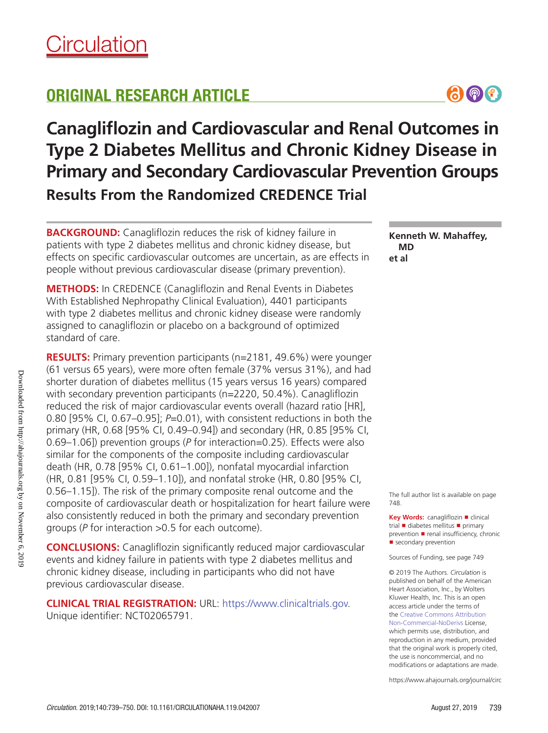# ORIGINAL RESEARCH ARTICLE



**BACKGROUND:** Canagliflozin reduces the risk of kidney failure in patients with type 2 diabetes mellitus and chronic kidney disease, but effects on specific cardiovascular outcomes are uncertain, as are effects in people without previous cardiovascular disease (primary prevention).

**METHODS:** In CREDENCE (Canagliflozin and Renal Events in Diabetes With Established Nephropathy Clinical Evaluation), 4401 participants with type 2 diabetes mellitus and chronic kidney disease were randomly assigned to canagliflozin or placebo on a background of optimized standard of care.

**RESULTS:** Primary prevention participants (n=2181, 49.6%) were younger (61 versus 65 years), were more often female (37% versus 31%), and had shorter duration of diabetes mellitus (15 years versus 16 years) compared with secondary prevention participants (n=2220, 50.4%). Canagliflozin reduced the risk of major cardiovascular events overall (hazard ratio [HR], 0.80 [95% CI, 0.67–0.95]; *P*=0.01), with consistent reductions in both the primary (HR, 0.68 [95% CI, 0.49–0.94]) and secondary (HR, 0.85 [95% CI, 0.69–1.06]) prevention groups (*P* for interaction=0.25). Effects were also similar for the components of the composite including cardiovascular death (HR, 0.78 [95% CI, 0.61–1.00]), nonfatal myocardial infarction (HR, 0.81 [95% CI, 0.59–1.10]), and nonfatal stroke (HR, 0.80 [95% CI, 0.56–1.15]). The risk of the primary composite renal outcome and the composite of cardiovascular death or hospitalization for heart failure were also consistently reduced in both the primary and secondary prevention groups (*P* for interaction >0.5 for each outcome).

**CONCLUSIONS:** Canagliflozin significantly reduced major cardiovascular events and kidney failure in patients with type 2 diabetes mellitus and chronic kidney disease, including in participants who did not have previous cardiovascular disease.

**CLINICAL TRIAL REGISTRATION:** URL: https://www.clinicaltrials.gov. Unique identifier: NCT02065791.

**Kenneth W. Mahaffey, MD et al**

 $\bigcirc$   $\bigcirc$   $\bigcirc$ 

The full author list is available on page 748.

**Key Words:** canagliflozin ■ clinical trial ■ diabetes mellitus ■ primary prevention ■ renal insufficiency, chronic ■ secondary prevention

Sources of Funding, see page 749

© 2019 The Authors. *Circulation* is published on behalf of the American Heart Association, Inc., by Wolters Kluwer Health, Inc. This is an open access article under the terms of the Creative Commons Attribution Non-Commercial-NoDerivs License, which permits use, distribution, and reproduction in any medium, provided that the original work is properly cited, the use is noncommercial, and no modifications or adaptations are made.

https://www.ahajournals.org/journal/circ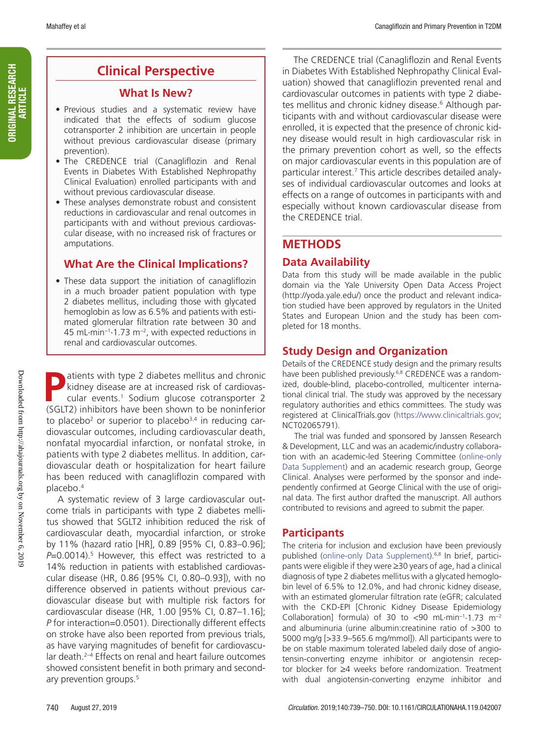# **Clinical Perspective**

# **What Is New?**

- Previous studies and a systematic review have indicated that the effects of sodium glucose cotransporter 2 inhibition are uncertain in people without previous cardiovascular disease (primary prevention).
- The CREDENCE trial (Canagliflozin and Renal Events in Diabetes With Established Nephropathy Clinical Evaluation) enrolled participants with and without previous cardiovascular disease.
- These analyses demonstrate robust and consistent reductions in cardiovascular and renal outcomes in participants with and without previous cardiovascular disease, with no increased risk of fractures or amputations.

# **What Are the Clinical Implications?**

• These data support the initiation of canagliflozin in a much broader patient population with type 2 diabetes mellitus, including those with glycated hemoglobin as low as 6.5% and patients with estimated glomerular filtration rate between 30 and 45 mL·min−1·1.73 m−2, with expected reductions in renal and cardiovascular outcomes.

**Patients with type 2 diabetes mellitus and chronic<br>kidney disease are at increased risk of cardiovas-<br>cular events.<sup>1</sup> Sodium glucose cotransporter 2<br>(SGLT2) inhibitors have been shown to be popinforior** kidney disease are at increased risk of cardiovascular events.<sup>1</sup> Sodium glucose cotransporter 2 (SGLT2) inhibitors have been shown to be noninferior to placebo<sup>2</sup> or superior to placebo<sup>3,4</sup> in reducing cardiovascular outcomes, including cardiovascular death, nonfatal myocardial infarction, or nonfatal stroke, in patients with type 2 diabetes mellitus. In addition, cardiovascular death or hospitalization for heart failure has been reduced with canagliflozin compared with placebo.4

A systematic review of 3 large cardiovascular outcome trials in participants with type 2 diabetes mellitus showed that SGLT2 inhibition reduced the risk of cardiovascular death, myocardial infarction, or stroke by 11% (hazard ratio [HR], 0.89 [95% CI, 0.83–0.96]; *P*=0.0014).5 However, this effect was restricted to a 14% reduction in patients with established cardiovascular disease (HR, 0.86 [95% CI, 0.80–0.93]), with no difference observed in patients without previous cardiovascular disease but with multiple risk factors for cardiovascular disease (HR, 1.00 [95% CI, 0.87–1.16]; *P* for interaction=0.0501). Directionally different effects on stroke have also been reported from previous trials, as have varying magnitudes of benefit for cardiovascular death.<sup>2–4</sup> Effects on renal and heart failure outcomes showed consistent benefit in both primary and secondary prevention groups.<sup>5</sup>

The CREDENCE trial (Canagliflozin and Renal Events in Diabetes With Established Nephropathy Clinical Evaluation) showed that canagliflozin prevented renal and cardiovascular outcomes in patients with type 2 diabetes mellitus and chronic kidney disease.<sup>6</sup> Although participants with and without cardiovascular disease were enrolled, it is expected that the presence of chronic kidney disease would result in high cardiovascular risk in the primary prevention cohort as well, so the effects on major cardiovascular events in this population are of particular interest.7 This article describes detailed analyses of individual cardiovascular outcomes and looks at effects on a range of outcomes in participants with and especially without known cardiovascular disease from the CREDENCE trial.

# **METHODS**

# **Data Availability**

Data from this study will be made available in the public domain via the Yale University Open Data Access Project (http://yoda.yale.edu/) once the product and relevant indication studied have been approved by regulators in the United States and European Union and the study has been completed for 18 months.

# **Study Design and Organization**

Details of the CREDENCE study design and the primary results have been published previously.<sup>6,8</sup> CREDENCE was a randomized, double-blind, placebo-controlled, multicenter international clinical trial. The study was approved by the necessary regulatory authorities and ethics committees. The study was registered at ClinicalTrials.gov (https://www.clinicaltrials.gov; NCT02065791).

The trial was funded and sponsored by Janssen Research & Development, LLC and was an academic/industry collaboration with an academic-led Steering Committee (online-only Data Supplement) and an academic research group, George Clinical. Analyses were performed by the sponsor and independently confirmed at George Clinical with the use of original data. The first author drafted the manuscript. All authors contributed to revisions and agreed to submit the paper.

# **Participants**

The criteria for inclusion and exclusion have been previously published (online-only Data Supplement).<sup>6,8</sup> In brief, participants were eligible if they were ≥30 years of age, had a clinical diagnosis of type 2 diabetes mellitus with a glycated hemoglobin level of 6.5% to 12.0%, and had chronic kidney disease, with an estimated glomerular filtration rate (eGFR; calculated with the CKD-EPI [Chronic Kidney Disease Epidemiology Collaboration] formula) of 30 to <90 mL·min−1·1.73 m−2 and albuminuria (urine albumin:creatinine ratio of >300 to 5000 mg/g [>33.9–565.6 mg/mmol]). All participants were to be on stable maximum tolerated labeled daily dose of angiotensin-converting enzyme inhibitor or angiotensin receptor blocker for ≥4 weeks before randomization. Treatment with dual angiotensin-converting enzyme inhibitor and

ORIGINAL RESEARCH ORIGINAL RESEARCH<br>Article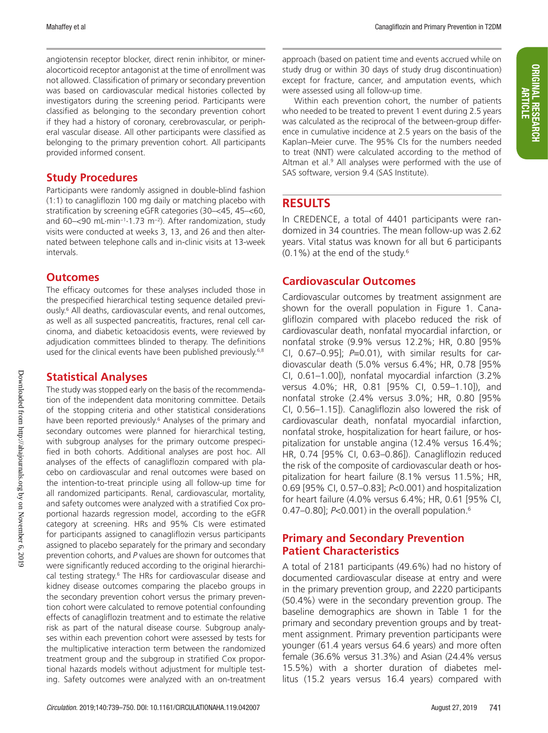angiotensin receptor blocker, direct renin inhibitor, or mineralocorticoid receptor antagonist at the time of enrollment was not allowed. Classification of primary or secondary prevention was based on cardiovascular medical histories collected by investigators during the screening period. Participants were classified as belonging to the secondary prevention cohort if they had a history of coronary, cerebrovascular, or peripheral vascular disease. All other participants were classified as belonging to the primary prevention cohort. All participants provided informed consent.

# **Study Procedures**

Participants were randomly assigned in double-blind fashion (1:1) to canagliflozin 100 mg daily or matching placebo with stratification by screening eGFR categories (30–<45, 45–<60, and 60–<90 mL·min−1·1.73 m−2). After randomization, study visits were conducted at weeks 3, 13, and 26 and then alternated between telephone calls and in-clinic visits at 13-week intervals.

# **Outcomes**

The efficacy outcomes for these analyses included those in the prespecified hierarchical testing sequence detailed previously.6 All deaths, cardiovascular events, and renal outcomes, as well as all suspected pancreatitis, fractures, renal cell carcinoma, and diabetic ketoacidosis events, were reviewed by adjudication committees blinded to therapy. The definitions used for the clinical events have been published previously.<sup>6,8</sup>

# **Statistical Analyses**

The study was stopped early on the basis of the recommendation of the independent data monitoring committee. Details of the stopping criteria and other statistical considerations have been reported previously.<sup>6</sup> Analyses of the primary and secondary outcomes were planned for hierarchical testing, with subgroup analyses for the primary outcome prespecified in both cohorts. Additional analyses are post hoc. All analyses of the effects of canagliflozin compared with placebo on cardiovascular and renal outcomes were based on the intention-to-treat principle using all follow-up time for all randomized participants. Renal, cardiovascular, mortality, and safety outcomes were analyzed with a stratified Cox proportional hazards regression model, according to the eGFR category at screening. HRs and 95% CIs were estimated for participants assigned to canagliflozin versus participants assigned to placebo separately for the primary and secondary prevention cohorts, and *P* values are shown for outcomes that were significantly reduced according to the original hierarchical testing strategy.<sup>6</sup> The HRs for cardiovascular disease and kidney disease outcomes comparing the placebo groups in the secondary prevention cohort versus the primary prevention cohort were calculated to remove potential confounding effects of canagliflozin treatment and to estimate the relative risk as part of the natural disease course. Subgroup analyses within each prevention cohort were assessed by tests for the multiplicative interaction term between the randomized treatment group and the subgroup in stratified Cox proportional hazards models without adjustment for multiple testing. Safety outcomes were analyzed with an on-treatment

approach (based on patient time and events accrued while on study drug or within 30 days of study drug discontinuation) except for fracture, cancer, and amputation events, which were assessed using all follow-up time.

Within each prevention cohort, the number of patients who needed to be treated to prevent 1 event during 2.5 years was calculated as the reciprocal of the between-group difference in cumulative incidence at 2.5 years on the basis of the Kaplan–Meier curve. The 95% CIs for the numbers needed to treat (NNT) were calculated according to the method of Altman et al.<sup>9</sup> All analyses were performed with the use of SAS software, version 9.4 (SAS Institute).

# **RESULTS**

In CREDENCE, a total of 4401 participants were randomized in 34 countries. The mean follow-up was 2.62 years. Vital status was known for all but 6 participants  $(0.1\%)$  at the end of the study.<sup>6</sup>

# **Cardiovascular Outcomes**

Cardiovascular outcomes by treatment assignment are shown for the overall population in Figure 1. Canagliflozin compared with placebo reduced the risk of cardiovascular death, nonfatal myocardial infarction, or nonfatal stroke (9.9% versus 12.2%; HR, 0.80 [95% CI, 0.67–0.95]; *P*=0.01), with similar results for cardiovascular death (5.0% versus 6.4%; HR, 0.78 [95% CI, 0.61–1.00]), nonfatal myocardial infarction (3.2% versus 4.0%; HR, 0.81 [95% CI, 0.59–1.10]), and nonfatal stroke (2.4% versus 3.0%; HR, 0.80 [95% CI, 0.56–1.15]). Canagliflozin also lowered the risk of cardiovascular death, nonfatal myocardial infarction, nonfatal stroke, hospitalization for heart failure, or hospitalization for unstable angina (12.4% versus 16.4%; HR, 0.74 [95% CI, 0.63–0.86]). Canagliflozin reduced the risk of the composite of cardiovascular death or hospitalization for heart failure (8.1% versus 11.5%; HR, 0.69 [95% CI, 0.57–0.83]; *P*<0.001) and hospitalization for heart failure (4.0% versus 6.4%; HR, 0.61 [95% CI, 0.47–0.80]; *P*<0.001) in the overall population.6

# **Primary and Secondary Prevention Patient Characteristics**

A total of 2181 participants (49.6%) had no history of documented cardiovascular disease at entry and were in the primary prevention group, and 2220 participants (50.4%) were in the secondary prevention group. The baseline demographics are shown in Table 1 for the primary and secondary prevention groups and by treatment assignment. Primary prevention participants were younger (61.4 years versus 64.6 years) and more often female (36.6% versus 31.3%) and Asian (24.4% versus 15.5%) with a shorter duration of diabetes mellitus (15.2 years versus 16.4 years) compared with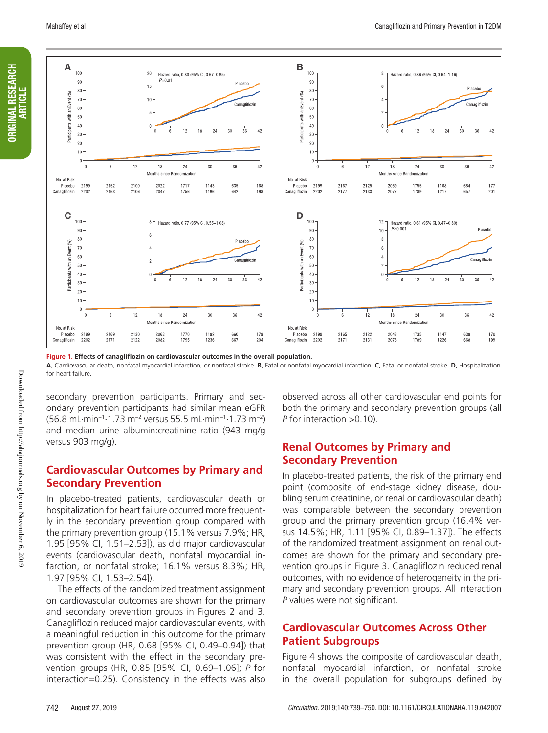ORIGINAL RESEARCH **ARTICLE** 

**ORIGINAL RESEARCH** 



**Figure 1. Effects of canagliflozin on cardiovascular outcomes in the overall population.**

**A**, Cardiovascular death, nonfatal myocardial infarction, or nonfatal stroke. **B**, Fatal or nonfatal myocardial infarction. **C**, Fatal or nonfatal stroke. **D**, Hospitalization for heart failure.

secondary prevention participants. Primary and secondary prevention participants had similar mean eGFR (56.8 mL·min−1·1.73 m−2 versus 55.5 mL·min−1·1.73 m−2) and median urine albumin:creatinine ratio (943 mg/g versus 903 mg/g).

# **Cardiovascular Outcomes by Primary and Secondary Prevention**

In placebo-treated patients, cardiovascular death or hospitalization for heart failure occurred more frequently in the secondary prevention group compared with the primary prevention group (15.1% versus 7.9%; HR, 1.95 [95% CI, 1.51–2.53]), as did major cardiovascular events (cardiovascular death, nonfatal myocardial infarction, or nonfatal stroke; 16.1% versus 8.3%; HR, 1.97 [95% CI, 1.53–2.54]).

The effects of the randomized treatment assignment on cardiovascular outcomes are shown for the primary and secondary prevention groups in Figures 2 and 3. Canagliflozin reduced major cardiovascular events, with a meaningful reduction in this outcome for the primary prevention group (HR, 0.68 [95% CI, 0.49–0.94]) that was consistent with the effect in the secondary prevention groups (HR, 0.85 [95% CI, 0.69–1.06]; *P* for interaction=0.25). Consistency in the effects was also

observed across all other cardiovascular end points for both the primary and secondary prevention groups (all *P* for interaction >0.10).

# **Renal Outcomes by Primary and Secondary Prevention**

In placebo-treated patients, the risk of the primary end point (composite of end-stage kidney disease, doubling serum creatinine, or renal or cardiovascular death) was comparable between the secondary prevention group and the primary prevention group (16.4% versus 14.5%; HR, 1.11 [95% CI, 0.89–1.37]). The effects of the randomized treatment assignment on renal outcomes are shown for the primary and secondary prevention groups in Figure 3. Canagliflozin reduced renal outcomes, with no evidence of heterogeneity in the primary and secondary prevention groups. All interaction *P* values were not significant.

# **Cardiovascular Outcomes Across Other Patient Subgroups**

Figure 4 shows the composite of cardiovascular death, nonfatal myocardial infarction, or nonfatal stroke in the overall population for subgroups defined by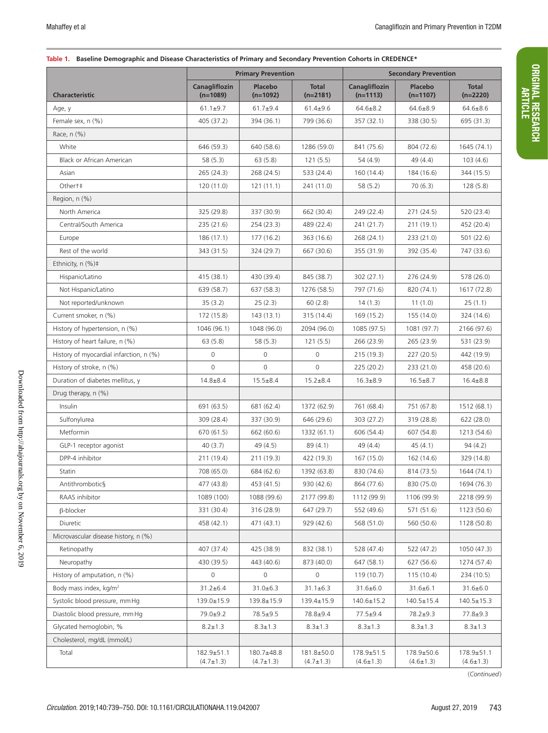ORIGINAL RESEARCH ORIGINAL RESEARCH<br>Article

#### **Table 1. Baseline Demographic and Disease Characteristics of Primary and Secondary Prevention Cohorts in CREDENCE\***

|                                         | <b>Primary Prevention</b>     |                               |                               | <b>Secondary Prevention</b>         |                               |                               |  |
|-----------------------------------------|-------------------------------|-------------------------------|-------------------------------|-------------------------------------|-------------------------------|-------------------------------|--|
| <b>Characteristic</b>                   | Canagliflozin<br>$(n=1089)$   | Placebo<br>$(n=1092)$         | <b>Total</b><br>$(n=2181)$    | Canagliflozin<br>$(n=1113)$         | Placebo<br>$(n=1107)$         | <b>Total</b><br>$(n=2220)$    |  |
| Age, y                                  | $61.1 \pm 9.7$                | $61.7 + 9.4$                  | $61.4 + 9.6$                  | $64.6 \pm 8.2$                      | $64.6 \pm 8.9$                | $64.6 \pm 8.6$                |  |
| Female sex, n (%)                       | 405 (37.2)                    | 394 (36.1)                    | 799 (36.6)                    | 357 (32.1)                          | 338 (30.5)                    | 695 (31.3)                    |  |
| Race, n (%)                             |                               |                               |                               |                                     |                               |                               |  |
| White                                   | 646 (59.3)                    | 640 (58.6)                    | 1286 (59.0)                   | 841 (75.6)                          | 804 (72.6)                    | 1645 (74.1)                   |  |
| Black or African American               | 58(5.3)                       | 63(5.8)                       | 121(5.5)                      | 54 (4.9)                            | 49(4.4)                       | 103(4.6)                      |  |
| Asian                                   | 265 (24.3)                    | 268 (24.5)                    | 533 (24.4)                    | 160 (14.4)                          | 184 (16.6)                    | 344 (15.5)                    |  |
| Other†‡                                 | 120(11.0)                     | 121(11.1)                     | 241 (11.0)                    | 58(5.2)                             | 70(6.3)                       | 128(5.8)                      |  |
| Region, n (%)                           |                               |                               |                               |                                     |                               |                               |  |
| North America                           | 325 (29.8)                    | 337 (30.9)                    | 662 (30.4)                    | 249 (22.4)                          | 271 (24.5)                    | 520 (23.4)                    |  |
| Central/South America                   | 235 (21.6)                    | 254 (23.3)                    | 489 (22.4)                    | 241 (21.7)                          | 211 (19.1)                    | 452 (20.4)                    |  |
| Europe                                  | 186 (17.1)                    | 177(16.2)                     | 363 (16.6)                    | 268 (24.1)                          | 233 (21.0)                    | 501 (22.6)                    |  |
| Rest of the world                       | 343 (31.5)                    | 324 (29.7)                    | 667 (30.6)                    | 355 (31.9)                          | 392 (35.4)                    | 747 (33.6)                    |  |
| Ethnicity, $n$ (%) $\pm$                |                               |                               |                               |                                     |                               |                               |  |
| Hispanic/Latino                         | 415 (38.1)                    | 430 (39.4)                    | 845 (38.7)                    | 302(27.1)                           | 276 (24.9)                    | 578 (26.0)                    |  |
| Not Hispanic/Latino                     | 639 (58.7)                    | 637 (58.3)                    | 1276 (58.5)                   | 797 (71.6)                          | 820 (74.1)                    | 1617 (72.8)                   |  |
| Not reported/unknown                    | 35(3.2)                       | 25(2.3)                       | 60(2.8)                       | 14(1.3)                             | 11(1.0)                       | 25(1.1)                       |  |
| Current smoker, n (%)                   | 172 (15.8)                    | 143(13.1)                     | 315 (14.4)                    | 169 (15.2)                          | 155 (14.0)                    | 324 (14.6)                    |  |
| History of hypertension, n (%)          | 1046 (96.1)                   | 1048 (96.0)                   | 2094 (96.0)                   | 1085 (97.5)                         | 1081 (97.7)                   | 2166 (97.6)                   |  |
| History of heart failure, n (%)         | 63(5.8)                       | 58 (5.3)                      | 121(5.5)                      | 266 (23.9)                          | 265 (23.9)                    | 531 (23.9)                    |  |
| History of myocardial infarction, n (%) | $\mathbf 0$                   | $\Omega$                      | $\circ$                       | 215(19.3)                           | 227 (20.5)                    | 442 (19.9)                    |  |
| History of stroke, n (%)                | $\mathbf 0$                   | $\Omega$                      | $\circ$                       | 225(20.2)                           | 233 (21.0)                    | 458 (20.6)                    |  |
| Duration of diabetes mellitus, y        | $14.8 + 8.4$                  | $15.5 \pm 8.4$                | $15.2 \pm 8.4$                | $16.3 + 8.9$                        | $16.5 \pm 8.7$                | $16.4 \pm 8.8$                |  |
| Drug therapy, n (%)                     |                               |                               |                               |                                     |                               |                               |  |
| Insulin                                 | 691 (63.5)                    | 681 (62.4)                    | 1372 (62.9)                   | 761 (68.4)                          | 751 (67.8)                    | 1512 (68.1)                   |  |
| Sulfonylurea                            | 309 (28.4)                    | 337 (30.9)                    | 646 (29.6)                    | 303 (27.2)                          | 319 (28.8)                    | 622(28.0)                     |  |
| Metformin                               | 670 (61.5)                    | 662 (60.6)                    | 1332 (61.1)                   | 606 (54.4)                          | 607 (54.8)                    | 1213 (54.6)                   |  |
| GLP-1 receptor agonist                  | 40(3.7)                       | 49 (4.5)                      | 89 (4.1)                      | 49(4.4)                             | 45(4.1)                       | 94(4.2)                       |  |
| DPP-4 inhibitor                         | 211 (19.4)                    | 211 (19.3)                    | 422 (19.3)                    | 167 (15.0)                          | 162 (14.6)                    | 329 (14.8)                    |  |
| Statin                                  | 708 (65.0)                    | 684 (62.6)                    | 1392 (63.8)                   | 830 (74.6)                          | 814 (73.5)                    | 1644 (74.1)                   |  |
| Antithrombotic§                         | 477 (43.8)                    | 453 (41.5)                    | 930 (42.6)                    | 864 (77.6)                          | 830 (75.0)                    | 1694 (76.3)                   |  |
| RAAS inhibitor                          | 1089 (100)                    | 1088 (99.6)                   | 2177 (99.8)                   | 1112 (99.9)                         | 1106 (99.9)                   | 2218 (99.9)                   |  |
| $\beta$ -blocker                        | 331 (30.4)                    | 316 (28.9)                    | 647 (29.7)                    | 552 (49.6)                          | 571 (51.6)                    | 1123 (50.6)                   |  |
| <b>Diuretic</b>                         | 458 (42.1)                    | 471 (43.1)                    | 929 (42.6)                    | 568 (51.0)                          | 560 (50.6)                    | 1128 (50.8)                   |  |
| Microvascular disease history, n (%)    |                               |                               |                               |                                     |                               |                               |  |
| Retinopathy                             | 407 (37.4)                    | 425 (38.9)                    | 832 (38.1)                    | 528 (47.4)                          | 522 (47.2)                    | 1050 (47.3)                   |  |
| Neuropathy                              | 430 (39.5)                    | 443 (40.6)                    | 873 (40.0)                    | 647 (58.1)                          | 627 (56.6)                    | 1274 (57.4)                   |  |
| History of amputation, n (%)            | $\mathbf{0}$                  | $\circ$                       | 0                             | 119(10.7)                           | 115(10.4)                     | 234 (10.5)                    |  |
| Body mass index, kg/m <sup>2</sup>      | $31.2 \pm 6.4$                | $31.0 \pm 6.3$                | $31.1 \pm 6.3$                | $31.6 \pm 6.0$                      | $31.6 \pm 6.1$                | $31.6 \pm 6.0$                |  |
| Systolic blood pressure, mm Hg          | 139.0±15.9                    | 139.8±15.9                    | 139.4±15.9                    | $140.6 \pm 15.2$                    | $140.5 \pm 15.4$              | $140.5 \pm 15.3$              |  |
| Diastolic blood pressure, mm Hg         | $79.0 + 9.2$                  | 78.5±9.5                      | 78.8±9.4                      | $77.5 \pm 9.4$                      | $78.2 + 9.3$                  | $77.8 + 9.3$                  |  |
| Glycated hemoglobin, %                  | $8.2 \pm 1.3$                 | $8.3 \pm 1.3$                 | $8.3 \pm 1.3$                 | $8.3 \pm 1.3$                       | $8.3 \pm 1.3$                 | $8.3 \pm 1.3$                 |  |
| Cholesterol, mg/dL (mmol/L)             |                               |                               |                               |                                     |                               |                               |  |
| Total                                   | 182.9±51.1<br>$(4.7 \pm 1.3)$ | 180.7±48.8<br>$(4.7 \pm 1.3)$ | 181.8±50.0<br>$(4.7 \pm 1.3)$ | $178.9 \pm 51.5$<br>$(4.6 \pm 1.3)$ | 178.9±50.6<br>$(4.6 \pm 1.3)$ | 178.9±51.1<br>$(4.6 \pm 1.3)$ |  |

(*Continued*)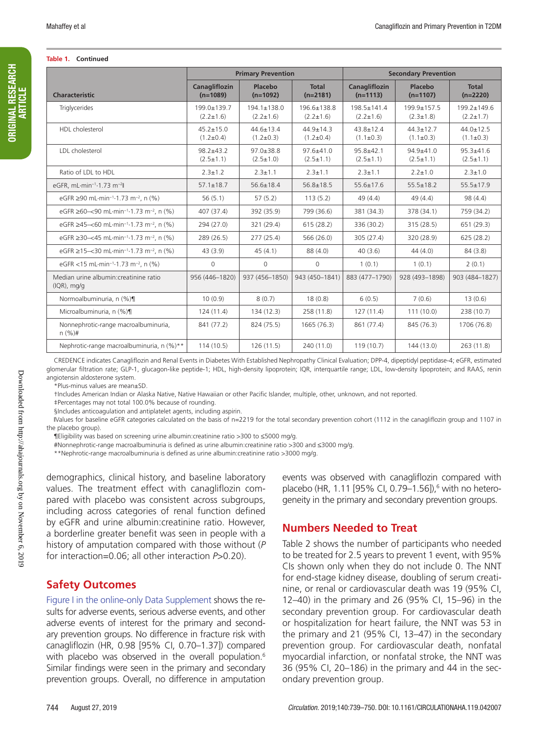#### **Table 1. Continued**

|                                                                                            | <b>Primary Prevention</b>        |                                      |                                  | <b>Secondary Prevention</b>        |                                  |                                    |  |
|--------------------------------------------------------------------------------------------|----------------------------------|--------------------------------------|----------------------------------|------------------------------------|----------------------------------|------------------------------------|--|
| <b>Characteristic</b>                                                                      | Canagliflozin<br>$(n=1089)$      | Placebo<br>$(n=1092)$                | <b>Total</b><br>$(n=2181)$       | <b>Canagliflozin</b><br>$(n=1113)$ | Placebo<br>$(n=1107)$            | <b>Total</b><br>$(n=2220)$         |  |
| Triglycerides                                                                              | 199.0±139.7<br>$(2.2 \pm 1.6)$   | $194.1 \pm 138.0$<br>$(2.2 \pm 1.6)$ | 196.6±138.8<br>$(2.2 \pm 1.6)$   | 198.5±141.4<br>$(2.2 \pm 1.6)$     | 199.9±157.5<br>$(2.3 \pm 1.8)$   | 199.2±149.6<br>$(2.2 \pm 1.7)$     |  |
| HDL cholesterol                                                                            | $45.2 + 15.0$<br>$(1.2 \pm 0.4)$ | $44.6 \pm 13.4$<br>$(1.2 \pm 0.3)$   | $44.9 + 14.3$<br>$(1.2 \pm 0.4)$ | $43.8 + 12.4$<br>$(1.1 \pm 0.3)$   | $44.3 + 12.7$<br>$(1.1 \pm 0.3)$ | $44.0 \pm 12.5$<br>$(1.1 \pm 0.3)$ |  |
| LDL cholesterol                                                                            | $98.2 + 43.2$<br>$(2.5 \pm 1.1)$ | $97.0 + 38.8$<br>$(2.5 \pm 1.0)$     | $97.6 + 41.0$<br>$(2.5 \pm 1.1)$ | $95.8 + 42.1$<br>$(2.5 \pm 1.1)$   | $94.9 + 41.0$<br>$(2.5 \pm 1.1)$ | $95.3 + 41.6$<br>$(2.5 \pm 1.1)$   |  |
| Ratio of LDL to HDL                                                                        | $2.3 \pm 1.2$                    | $2.3 \pm 1.1$                        | $2.3 \pm 1.1$                    | $2.3 \pm 1.1$                      | $2.2 \pm 1.0$                    | $2.3 \pm 1.0$                      |  |
| eGFR, mL·min <sup>-1</sup> -1.73 m <sup>-2</sup> ll                                        | $57.1 \pm 18.7$                  | $56.6 \pm 18.4$                      | $56.8 \pm 18.5$                  | $55.6 \pm 17.6$                    | $55.5 \pm 18.2$                  | $55.5 \pm 17.9$                    |  |
| eGFR ≥90 mL·min <sup>-1</sup> ·1.73 m <sup>-2</sup> . n (%)                                | 56(5.1)                          | 57(5.2)                              | 113(5.2)                         | 49(4.4)                            | 49(4.4)                          | 98(4.4)                            |  |
| eGFR $\geq 60 - \leq 90$ mL $\cdot$ min <sup>-1</sup> $\cdot$ 1.73 m <sup>-2</sup> , n (%) | 407 (37.4)                       | 392 (35.9)                           | 799 (36.6)                       | 381 (34.3)                         | 378 (34.1)                       | 759 (34.2)                         |  |
| eGFR ≥45-<60 mL·min <sup>-1</sup> -1.73 m <sup>-2</sup> , n (%)                            | 294 (27.0)                       | 321 (29.4)                           | 615(28.2)                        | 336 (30.2)                         | 315 (28.5)                       | 651 (29.3)                         |  |
| eGFR $\geq$ 30-<45 mL·min <sup>-1</sup> ·1.73 m <sup>-2</sup> , n (%)                      | 289 (26.5)                       | 277(25.4)                            | 566 (26.0)                       | 305(27.4)                          | 320 (28.9)                       | 625(28.2)                          |  |
| eGFR ≥15-<30 mL·min <sup>-1</sup> -1.73 m <sup>-2</sup> , n (%)                            | 43(3.9)                          | 45(4.1)                              | 88 (4.0)                         | 40(3.6)                            | 44(4.0)                          | 84 (3.8)                           |  |
| eGFR <15 mL·min <sup>-1</sup> -1.73 m <sup>-2</sup> , n (%)                                | $\mathbf{0}$                     | $\circ$                              | $\circ$                          | 1(0.1)                             | 1(0.1)                           | 2(0.1)                             |  |
| Median urine albumin: creatinine ratio<br>$(IQR)$ , mg/g                                   | 956 (446-1820)                   | 937 (456-1850)                       | 943 (450-1841)                   | 883 (477-1790)                     | 928 (493-1898)                   | 903 (484-1827)                     |  |
| Normoalbuminuria, n (%)¶                                                                   | 10(0.9)                          | 8(0.7)                               | 18(0.8)                          | 6(0.5)                             | 7(0.6)                           | 13(0.6)                            |  |
| Microalbuminuria, n (%)¶                                                                   | 124(11.4)                        | 134 (12.3)                           | 258 (11.8)                       | 127(11.4)                          | 111(10.0)                        | 238 (10.7)                         |  |
| Nonnephrotic-range macroalbuminuria,<br>$n (%)*$                                           | 841 (77.2)                       | 824 (75.5)                           | 1665 (76.3)                      | 861 (77.4)                         | 845 (76.3)                       | 1706 (76.8)                        |  |
| Nephrotic-range macroalbuminuria, n (%)**                                                  | 114(10.5)                        | 126(11.5)                            | 240 (11.0)                       | 119(10.7)                          | 144 (13.0)                       | 263(11.8)                          |  |

CREDENCE indicates Canagliflozin and Renal Events in Diabetes With Established Nephropathy Clinical Evaluation; DPP-4, dipeptidyl peptidase-4; eGFR, estimated glomerular filtration rate; GLP-1, glucagon-like peptide-1; HDL, high-density lipoprotein; IQR, interquartile range; LDL, low-density lipoprotein; and RAAS, renin angiotensin aldosterone system.

\*Plus-minus values are mean±SD.

†Includes American Indian or Alaska Native, Native Hawaiian or other Pacific Islander, multiple, other, unknown, and not reported.

‡Percentages may not total 100.0% because of rounding.

§Includes anticoagulation and antiplatelet agents, including aspirin.

‖Values for baseline eGFR categories calculated on the basis of n=2219 for the total secondary prevention cohort (1112 in the canagliflozin group and 1107 in the placebo group).

¶Eligibility was based on screening urine albumin:creatinine ratio >300 to ≤5000 mg/g.

#Nonnephrotic-range macroalbuminuria is defined as urine albumin:creatinine ratio >300 and ≤3000 mg/g.

\*\*Nephrotic-range macroalbuminuria is defined as urine albumin:creatinine ratio >3000 mg/g.

demographics, clinical history, and baseline laboratory values. The treatment effect with canagliflozin compared with placebo was consistent across subgroups, including across categories of renal function defined by eGFR and urine albumin:creatinine ratio. However, a borderline greater benefit was seen in people with a history of amputation compared with those without (*P* for interaction=0.06; all other interaction *P*>0.20).

# **Safety Outcomes**

Figure I in the online-only Data Supplement shows the results for adverse events, serious adverse events, and other adverse events of interest for the primary and secondary prevention groups. No difference in fracture risk with canagliflozin (HR, 0.98 [95% CI, 0.70–1.37]) compared with placebo was observed in the overall population.<sup>6</sup> Similar findings were seen in the primary and secondary prevention groups. Overall, no difference in amputation

events was observed with canagliflozin compared with placebo (HR, 1.11 [95% CI, 0.79–1.56]),<sup>6</sup> with no heterogeneity in the primary and secondary prevention groups.

# **Numbers Needed to Treat**

Table 2 shows the number of participants who needed to be treated for 2.5 years to prevent 1 event, with 95% CIs shown only when they do not include 0. The NNT for end-stage kidney disease, doubling of serum creatinine, or renal or cardiovascular death was 19 (95% CI, 12–40) in the primary and 26 (95% CI, 15–96) in the secondary prevention group. For cardiovascular death or hospitalization for heart failure, the NNT was 53 in the primary and 21 (95% CI, 13–47) in the secondary prevention group. For cardiovascular death, nonfatal myocardial infarction, or nonfatal stroke, the NNT was 36 (95% CI, 20–186) in the primary and 44 in the secondary prevention group.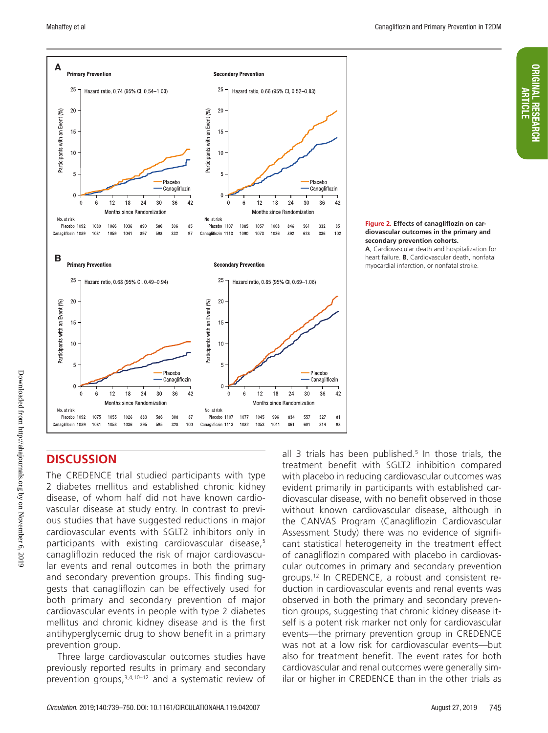

#### **Figure 2. Effects of canagliflozin on cardiovascular outcomes in the primary and secondary prevention cohorts.**

**A**, Cardiovascular death and hospitalization for heart failure. **B**, Cardiovascular death, nonfatal myocardial infarction, or nonfatal stroke.

# **DISCUSSION**

The CREDENCE trial studied participants with type 2 diabetes mellitus and established chronic kidney disease, of whom half did not have known cardiovascular disease at study entry. In contrast to previous studies that have suggested reductions in major cardiovascular events with SGLT2 inhibitors only in participants with existing cardiovascular disease,<sup>5</sup> canagliflozin reduced the risk of major cardiovascular events and renal outcomes in both the primary and secondary prevention groups. This finding suggests that canagliflozin can be effectively used for both primary and secondary prevention of major cardiovascular events in people with type 2 diabetes mellitus and chronic kidney disease and is the first antihyperglycemic drug to show benefit in a primary prevention group.

Three large cardiovascular outcomes studies have previously reported results in primary and secondary prevention groups,  $3,4,10-12$  and a systematic review of

all 3 trials has been published.<sup>5</sup> In those trials, the treatment benefit with SGLT2 inhibition compared with placebo in reducing cardiovascular outcomes was evident primarily in participants with established cardiovascular disease, with no benefit observed in those without known cardiovascular disease, although in the CANVAS Program (Canagliflozin Cardiovascular Assessment Study) there was no evidence of significant statistical heterogeneity in the treatment effect of canagliflozin compared with placebo in cardiovascular outcomes in primary and secondary prevention groups.12 In CREDENCE, a robust and consistent reduction in cardiovascular events and renal events was observed in both the primary and secondary prevention groups, suggesting that chronic kidney disease itself is a potent risk marker not only for cardiovascular events—the primary prevention group in CREDENCE was not at a low risk for cardiovascular events—but also for treatment benefit. The event rates for both cardiovascular and renal outcomes were generally similar or higher in CREDENCE than in the other trials as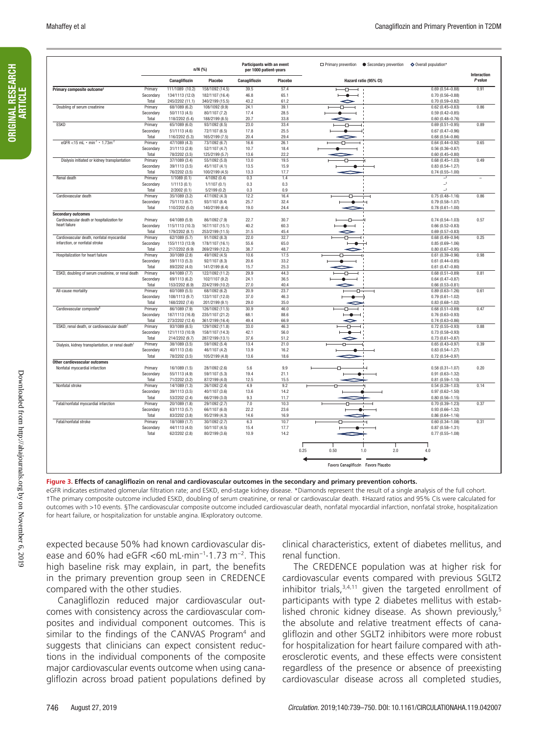|                                                                 |                      |                                 | n/N (%)                          | Participants with an event<br>per 1000 patient-years |              | □ Primary prevention ● Secondary prevention | ♦ Overall population*                      | Interaction |
|-----------------------------------------------------------------|----------------------|---------------------------------|----------------------------------|------------------------------------------------------|--------------|---------------------------------------------|--------------------------------------------|-------------|
|                                                                 |                      | Canagliflozin                   | Placebo                          | Canagliflozin                                        | Placebo      | Hazard ratio (95% CI)                       |                                            | P value     |
| Primary composite outcome <sup>1</sup>                          | Primary              | 111/1089 (10.2)                 | 158/1092 (14.5)                  | 39.5                                                 | 57.4         | ብ<br>-1                                     | $0.69(0.54 - 0.88)$                        | 0.91        |
|                                                                 | Secondary            | 134/1113 (12.0)                 | 182/1107 (16.4)                  | 46.8                                                 | 65.1         |                                             | $0.70(0.56 - 0.88)$                        |             |
|                                                                 | Total                | 245/2202 (11.1)                 | 340/2199 (15.5)                  | 43.2                                                 | 61.2         |                                             | $0.70(0.59 - 0.82)$                        |             |
| Doubling of serum creatinine                                    | Primary<br>Secondary | 68/1089 (6.2)<br>50/1113 (4.5)  | 108/1092 (9.9)<br>80/1107 (7.2)  | 24.1<br>17.4                                         | 39.1<br>28.5 | п                                           | $0.62(0.45 - 0.83)$<br>$0.59(0.42 - 0.85)$ | 0.86        |
|                                                                 | Total                | 118/2202 (5.4)                  | 188/2199 (8.5)                   | 20.7                                                 | 33.8         |                                             | $0.60(0.48 - 0.76)$                        |             |
| <b>ESKD</b>                                                     | Primary              | 65/1089 (6.0)                   | 93/1092 (8.5)                    | 23.0                                                 | 33.4         | Ð                                           | $0.69(0.51 - 0.95)$                        | 0.89        |
|                                                                 | Secondary            | 51/1113 (4.6)                   | 72/1107 (6.5)                    | 17.8                                                 | 25.5         |                                             | $0.67(0.47 - 0.96)$                        |             |
|                                                                 | Total                | 116/2202 (5.3)                  | 165/2199 (7.5)                   | 20.4                                                 | 29.4         |                                             | $0.68(0.54 - 0.86)$                        |             |
| eGFR <15 mL · min <sup>-1</sup> · 1.73m <sup>-2</sup>           | Primary              | 47/1089 (4.3)                   | 73/1092 (6.7)                    | 16.6                                                 | 26.1         |                                             | $0.64(0.44 - 0.92)$                        | 0.65        |
|                                                                 | Secondary            | 31/1113 (2.8)                   | 52/1107 (4.7)                    | 10.7                                                 | 18.4         |                                             | $0.56(0.36 - 0.87)$                        |             |
|                                                                 | Total                | 78/2202 (3.5)                   | 125/2199 (5.7)                   | 13.6                                                 | 22.2         |                                             | $0.60(0.45 - 0.80)$                        |             |
| Dialysis initiated or kidney transplantation                    | Primary              | 37/1089 (3.4)                   | 55/1092 (5.0)                    | 13.0<br>13.5                                         | 19.5<br>15.9 | п                                           | $0.68(0.45 - 1.03)$                        | 0.49        |
|                                                                 | Secondary<br>Total   | 39/1113 (3.5)<br>76/2202 (3.5)  | 45/1107 (4.1)<br>100/2199 (4.5)  | 13.3                                                 | 17.7         |                                             | $0.83(0.54 - 1.27)$<br>$0.74(0.55 - 1.00)$ |             |
| Renal death                                                     | Primary              | 1/1089(0.1)                     | 4/1092(0.4)                      | 0.3                                                  | 1.4          |                                             | $\rightarrow$                              |             |
|                                                                 | Secondary            | 1/1113(0.1)                     | 1/1107(0.1)                      | 0.3                                                  | 0.3          |                                             | $\mathrel{\rightharpoonup}$                |             |
|                                                                 | Total                | 2/2002(0.1)                     | 5/2199(0.2)                      | 0.3                                                  | 0.9          |                                             | $\rightarrow$                              |             |
| Cardiovascular death                                            | Primary              | 35/1089 (3.2)                   | 47/1092 (4.3)                    | 12.2                                                 | 16.4         | ⊕                                           | $0.75(0.48 - 1.16)$                        | 0.86        |
|                                                                 | Secondary            | 75/1113 (6.7)                   | 93/1107 (8.4)                    | 25.7                                                 | 32.4         |                                             | $0.79(0.58 - 1.07)$                        |             |
|                                                                 | Total                | 110/2202 (5.0)                  | 140/2199 (6.4)                   | 19.0                                                 | 24.4         |                                             | $0.78(0.61 - 1.00)$                        |             |
| <b>Secondary outcomes</b>                                       |                      |                                 |                                  |                                                      |              |                                             |                                            |             |
| Cardiovascular death or hospitalization for                     | Primary              | 64/1089 (5.9)                   | 86/1092 (7.9)                    | 22.7                                                 | 30.7         |                                             | $0.74(0.54 - 1.03)$                        | 0.57        |
| heart failure                                                   | Secondary            | 115/1113 (10.3)                 | 167/1107 (15.1)                  | 40.2                                                 | 60.3         |                                             | $0.66(0.52 - 0.83)$                        |             |
| Cardiovascular death, nonfatal myocardial                       | Total<br>Primary     | 179/2202 (8.1)<br>62/1089 (5.7) | 253/2199 (11.5)<br>91/1092 (8.3) | 31.5<br>22.0                                         | 45.4<br>32.7 |                                             | $0.69(0.57 - 0.83)$<br>$0.68(0.49 - 0.94)$ | 0.25        |
| infarction, or nonfatal stroke                                  | Secondary            | 155/1113 (13.9)                 | 178/1107 (16.1)                  | 55.6                                                 | 65.0         |                                             | $0.85(0.69 - 1.06)$                        |             |
|                                                                 | Total                | 217/2202 (9.9)                  | 269/2199 (12.2)                  | 38.7                                                 | 48.7         |                                             | $0.80(0.67 - 0.95)$                        |             |
| Hospitalization for heart failure                               | Primary              | 30/1089(2.8)                    | 49/1092 (4.5)                    | 10.6                                                 | 17.5         |                                             | $0.61(0.39 - 0.96)$                        | 0.98        |
|                                                                 | Secondary            | 59/1113 (5.3)                   | 92/1107 (8.3)                    | 20.6                                                 | 33.2         |                                             | $0.61(0.44 - 0.85)$                        |             |
|                                                                 | Total                | 89/2202 (4.0)                   | 141/2199 (6.4)                   | 15.7                                                 | 25.3         |                                             | $0.61(0.47 - 0.80)$                        |             |
| ESKD, doubling of serum creatinine, or renal death              | Primary              | 84/1089 (7.7)                   | 122/1092 (11.2)                  | 29.9                                                 | 44.3         |                                             | $0.68(0.51 - 0.89)$                        | 0.81        |
|                                                                 | Secondary            | 69/1113 (6.2)                   | 102/1107 (9.2)                   | 24.1                                                 | 36.5         |                                             | $0.64(0.47 - 0.87)$                        |             |
|                                                                 | Total                | 153/2202 (6.9)                  | 224/2199 (10.2)                  | 27.0                                                 | 40.4         |                                             | $0.66(0.53 - 0.81)$                        |             |
| All-cause mortality                                             | Primary              | 60/1089 (5.5)<br>108/1113 (9.7) | 68/1092 (6.2)<br>133/1107 (12.0) | 20.9<br>37.0                                         | 23.7<br>46.3 | Ð                                           | $0.89(0.63 - 1.26)$<br>$0.79(0.61 - 1.02)$ | 0.61        |
|                                                                 | Secondary<br>Total   | 168/2202 (7.6)                  | 201/2199 (9.1)                   | 29.0                                                 | 35.0         |                                             | $0.83(0.68 - 1.02)$                        |             |
| Cardiovascular composite <sup>5</sup>                           | Primary              | 86/1089 (7.9)                   | 126/1092 (11.5)                  | 30.9                                                 | 46.0         | ብ                                           | $0.68(0.51 - 0.89)$                        | 0.47        |
|                                                                 | Secondary            | 187/1113 (16.8)                 | 235/1107 (21.2)                  | 68.1                                                 | 88.6         | $\bullet$ $\dashv$                          | $0.76(0.63 - 0.93)$                        |             |
|                                                                 | Total                | 273/2202 (12.4)                 | 361/2199 (16.4)                  | 49.4                                                 | 66.9         |                                             | $0.74(0.63 - 0.86)$                        |             |
| ESKD, renal death, or cardiovascular death                      | Primary              | 93/1089 (8.5)                   | 129/1092 (11.8)                  | 33.0                                                 | 46.3         | п                                           | $0.72(0.55 - 0.93)$                        | 0.88        |
|                                                                 | Secondary            | 121/1113 (10.9)                 | 158/1107 (14.3)                  | 42.1                                                 | 56.0         |                                             | $0.73(0.58 - 0.93)$                        |             |
|                                                                 | Total                | 214/2202 (9.7)                  | 287/2199 (13.1)                  | 37.6                                                 | 51.2         |                                             | $0.73(0.61 - 0.87)$                        |             |
| Dialysis, kidney transplantation, or renal death                | Primary              | 38/1089 (3.5)                   | 59/1092 (5.4)                    | 13.4                                                 | 21.0         |                                             | $0.65(0.43 - 0.97)$                        | 0.39        |
|                                                                 | Secondary            | 40/1113 (3.6)                   | 46/1107 (4.2)                    | 13.9                                                 | 16.2         |                                             | $0.83(0.54 - 1.27)$                        |             |
|                                                                 | Total                | 78/2202 (3.5)                   | 105/2199 (4.8)                   | 13.6                                                 | 18.6         |                                             | $0.72(0.54 - 0.97)$                        |             |
| Other cardiovascular outcomes<br>Nonfatal myocardial infarction | Primary              | 16/1089 (1.5)                   | 28/1092 (2.6)                    | 5.6                                                  | 9.9          |                                             | $0.58(0.31 - 1.07)$                        | 0.20        |
|                                                                 | Secondary            | 55/1113 (4.9)                   | 59/1107 (5.3)                    | 19.4                                                 | 21.1         |                                             | $0.91(0.63 - 1.32)$                        |             |
|                                                                 | Total                | 71/2202 (3.2)                   | 87/2199 (4.0)                    | 12.5                                                 | 15.5         |                                             | $0.81(0.59 - 1.10)$                        |             |
| Nonfatal stroke                                                 | Primary              | 14/1089 (1.3)                   | 26/1092 (2.4)                    | 4.9                                                  | 9.2          |                                             | $0.54(0.28 - 1.03)$                        | 0.14        |
|                                                                 | Secondary            | 39/1113 (3.5)                   | 40/1107 (3.6)                    | 13.6                                                 | 14.2         |                                             | $0.97(0.62 - 1.50)$                        |             |
|                                                                 | Total                | 53/2202 (2.4)                   | 66/2199 (3.0)                    | 9.3                                                  | 11.7         |                                             | $0.80(0.56 - 1.15)$                        |             |
| Fatal/nonfatal myocardial infarction                            | Primary              | 20/1089 (1.8)                   | 29/1092 (2.7)                    | 7.0                                                  | 10.3         |                                             | $0.70(0.39 - 1.23)$                        | 0.37        |
|                                                                 | Secondary            | 63/1113 (5.7)                   | 66/1107 (6.0)                    | 22.2                                                 | 23.6         |                                             | $0.93(0.66 - 1.32)$                        |             |
|                                                                 | Total                | 83/2202 (3.8)                   | 95/2199 (4.3)                    | 14.6                                                 | 16.9         |                                             | $0.86(0.64 - 1.16)$                        |             |
| Fatal/nonfatal stroke                                           | Primary<br>Secondary | 18/1089 (1.7)<br>44/1113 (4.0)  | 30/1092 (2.7)<br>50/1107 (4.5)   | 6.3<br>15.4                                          | 10.7<br>17.7 |                                             | $0.60(0.34 - 1.08)$<br>$0.87(0.58 - 1.31)$ | 0.31        |
|                                                                 | Total                | 62/2202 (2.8)                   | 80/2199 (3.6)                    | 10.9                                                 | 14.2         |                                             | $0.77(0.55 - 1.08)$                        |             |
|                                                                 |                      |                                 |                                  |                                                      |              |                                             |                                            |             |
|                                                                 |                      |                                 |                                  |                                                      |              |                                             |                                            |             |
|                                                                 |                      |                                 |                                  |                                                      |              | 0.25<br>0.50<br>1.0<br>2.0                  | 4.0                                        |             |
|                                                                 |                      |                                 |                                  |                                                      |              |                                             |                                            |             |
|                                                                 |                      |                                 |                                  |                                                      |              | Favors Canagliflozin Favors Placebo         |                                            |             |
|                                                                 |                      |                                 |                                  |                                                      |              |                                             |                                            |             |

**Figure 3. Effects of canagliflozin on renal and cardiovascular outcomes in the secondary and primary prevention cohorts.**

eGFR indicates estimated glomerular filtration rate; and ESKD, end-stage kidney disease. \*Diamonds represent the result of a single analysis of the full cohort. †The primary composite outcome included ESKD, doubling of serum creatinine, or renal or cardiovascular death. ‡Hazard ratios and 95% CIs were calculated for outcomes with >10 events. §The cardiovascular composite outcome included cardiovascular death, nonfatal myocardial infarction, nonfatal stroke, hospitalization for heart failure, or hospitalization for unstable angina. IExploratory outcome.

expected because 50% had known cardiovascular disease and 60% had eGFR <60 mL·min−1·1.73 m−2. This high baseline risk may explain, in part, the benefits in the primary prevention group seen in CREDENCE compared with the other studies.

Canagliflozin reduced major cardiovascular outcomes with consistency across the cardiovascular composites and individual component outcomes. This is similar to the findings of the CANVAS Program4 and suggests that clinicians can expect consistent reductions in the individual components of the composite major cardiovascular events outcome when using canagliflozin across broad patient populations defined by

clinical characteristics, extent of diabetes mellitus, and renal function.

The CREDENCE population was at higher risk for cardiovascular events compared with previous SGLT2 inhibitor trials, $3,4,11$  given the targeted enrollment of participants with type 2 diabetes mellitus with established chronic kidney disease. As shown previously,<sup>5</sup> the absolute and relative treatment effects of canagliflozin and other SGLT2 inhibitors were more robust for hospitalization for heart failure compared with atherosclerotic events, and these effects were consistent regardless of the presence or absence of preexisting cardiovascular disease across all completed studies,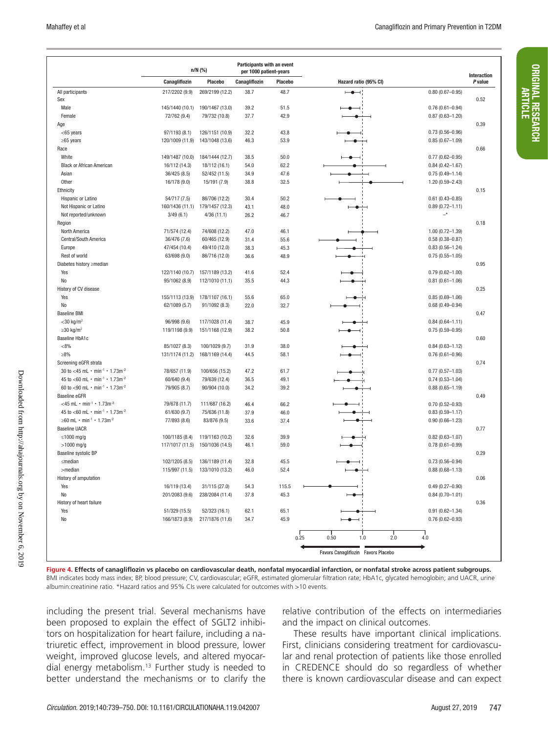ORIGINAL RESEARCH ARTICLE

**ORIGINAL RESEARCH** 

|                                                                    | Participants with an event<br>$n/N$ (%)<br>per 1000 patient-years |                 |               |         |                                        |                     |                        |
|--------------------------------------------------------------------|-------------------------------------------------------------------|-----------------|---------------|---------|----------------------------------------|---------------------|------------------------|
|                                                                    | Canagliflozin                                                     | Placebo         | Canagliflozin | Placebo | Hazard ratio (95% CI)                  |                     | Interaction<br>P value |
| All participants                                                   | 217/2202 (9.9)                                                    | 269/2199 (12.2) | 38.7          | 48.7    | $-\bullet$                             | $0.80(0.67 - 0.95)$ |                        |
| Sex                                                                |                                                                   |                 |               |         |                                        |                     | 0.52                   |
| Male                                                               | 145/1440 (10.1)                                                   | 190/1467 (13.0) | 39.2          | 51.5    |                                        | $0.76(0.61 - 0.94)$ |                        |
| Female                                                             | 72/762 (9.4)                                                      | 79/732 (10.8)   | 37.7          | 42.9    |                                        | $0.87(0.63 - 1.20)$ |                        |
| Age                                                                |                                                                   |                 |               |         |                                        |                     | 0.39                   |
| <65 years                                                          | 97/1193 (8.1)                                                     | 126/1151 (10.9) | 32.2          | 43.8    |                                        | $0.73(0.56 - 0.96)$ |                        |
| $\geq 65$ years                                                    | 120/1009 (11.9)                                                   | 143/1048 (13.6) | 46.3          | 53.9    |                                        | $0.85(0.67 - 1.09)$ |                        |
| Race                                                               |                                                                   |                 |               |         |                                        |                     | 0.66                   |
| White                                                              | 149/1487 (10.0)                                                   | 184/1444 (12.7) | 38.5          | 50.0    |                                        | $0.77(0.62 - 0.95)$ |                        |
| <b>Black or African American</b>                                   | 16/112 (14.3)                                                     | 18/112 (16.1)   | 54.0          | 62.2    |                                        | $0.84(0.42 - 1.67)$ |                        |
| Asian                                                              | 36/425 (8.5)                                                      | 52/452 (11.5)   | 34.9          | 47.6    |                                        | $0.75(0.49 - 1.14)$ |                        |
| Other                                                              | 16/178 (9.0)                                                      | 15/191 (7.9)    | 38.8          | 32.5    |                                        | $1.20(0.59 - 2.43)$ |                        |
| Ethnicity                                                          |                                                                   |                 |               |         |                                        |                     | 0.15                   |
| Hispanic or Latino                                                 | 54/717 (7.5)                                                      | 86/706 (12.2)   | 30.4          | 50.2    |                                        | $0.61(0.43 - 0.85)$ |                        |
| Not Hispanic or Latino                                             | 160/1436 (11.1)                                                   | 179/1457 (12.3) | 43.1          | 48.0    | -0                                     | $0.89(0.72 - 1.11)$ |                        |
| Not reported/unknown                                               | 3/49(6.1)                                                         | 4/36(11.1)      | 26.2          | 46.7    |                                        | $-^*$               |                        |
| Region                                                             |                                                                   |                 |               |         |                                        |                     | 0.18                   |
| North America                                                      | 71/574 (12.4)                                                     | 74/608 (12.2)   | 47.0          | 46.1    |                                        | $1.00(0.72 - 1.39)$ |                        |
| Central/South America                                              | 36/476 (7.6)                                                      | 60/465 (12.9)   | 31.4          | 55.6    |                                        | $0.58(0.38 - 0.87)$ |                        |
| Europe                                                             | 47/454 (10.4)                                                     | 49/410 (12.0)   | 38.3          | 45.3    |                                        | $0.83(0.56 - 1.24)$ |                        |
| Rest of world                                                      | 63/698 (9.0)                                                      | 86/716 (12.0)   | 36.6          | 48.9    |                                        | $0.75(0.55 - 1.05)$ |                        |
| Diabetes history ≥median                                           |                                                                   |                 |               |         |                                        |                     | 0.95                   |
| Yes                                                                | 122/1140 (10.7)                                                   | 157/1189 (13.2) | 41.6          | 52.4    |                                        | $0.79(0.62 - 1.00)$ |                        |
| No                                                                 | 95/1062 (8.9)                                                     | 112/1010 (11.1) | 35.5          | 44.3    |                                        | $0.81(0.61 - 1.06)$ |                        |
| History of CV disease                                              |                                                                   |                 |               |         |                                        |                     | 0.25                   |
| Yes                                                                | 155/1113 (13.9)                                                   | 178/1107 (16.1) | 55.6          | 65.0    |                                        | $0.85(0.69 - 1.06)$ |                        |
| No                                                                 | 62/1089 (5.7)                                                     | 91/1092 (8.3)   | 22.0          | 32.7    |                                        | $0.68(0.49 - 0.94)$ |                        |
| <b>Baseline BMI</b>                                                |                                                                   |                 |               |         |                                        |                     | 0.47                   |
| $<$ 30 kg/m <sup>2</sup>                                           | 96/998 (9.6)                                                      | 117/1028 (11.4) | 38.7          | 45.9    |                                        | $0.84(0.64 - 1.11)$ |                        |
| $\geq$ 30 kg/m <sup>2</sup>                                        | 119/1198 (9.9)                                                    | 151/1168 (12.9) | 38.2          | 50.8    |                                        | $0.75(0.59 - 0.95)$ |                        |
| Baseline HbA1c                                                     |                                                                   |                 |               |         |                                        |                     | 0.60                   |
| $< 8\%$                                                            | 85/1027 (8.3)                                                     | 100/1029 (9.7)  | 31.9          | 38.0    |                                        | $0.84(0.63 - 1.12)$ |                        |
| $>8\%$                                                             | 131/1174 (11.2)                                                   | 168/1169 (14.4) | 44.5          | 58.1    |                                        |                     |                        |
| Screening eGFR strata                                              |                                                                   |                 |               |         |                                        | $0.76(0.61 - 0.96)$ | 0.74                   |
|                                                                    |                                                                   |                 |               |         |                                        |                     |                        |
| 30 to <45 mL $\cdot$ min <sup>-1</sup> $\cdot$ 1.73m <sup>-2</sup> | 78/657 (11.9)                                                     | 100/656 (15.2)  | 47.2          | 61.7    |                                        | $0.77(0.57 - 1.03)$ |                        |
| 45 to <60 mL $\cdot$ min <sup>-1</sup> $\cdot$ 1.73m <sup>-2</sup> | 60/640 (9.4)                                                      | 79/639 (12.4)   | 36.5          | 49.1    |                                        | $0.74(0.53 - 1.04)$ |                        |
| 60 to <90 mL $\cdot$ min <sup>-1</sup> $\cdot$ 1.73m <sup>-2</sup> | 79/905 (8.7)                                                      | 90/904 (10.0)   | 34.2          | 39.2    |                                        | $0.88(0.65 - 1.19)$ |                        |
| <b>Baseline eGFR</b>                                               |                                                                   |                 |               |         |                                        |                     | 0.49                   |
| <45 mL $\cdot$ min <sup>-1</sup> $\cdot$ 1.73m <sup>-2</sup>       | 79/678 (11.7)                                                     | 111/687 (16.2)  | 46.4          | 66.2    |                                        | $0.70(0.52 - 0.93)$ |                        |
| 45 to <60 mL $\cdot$ min <sup>-1</sup> $\cdot$ 1.73m <sup>-2</sup> | 61/630 (9.7)                                                      | 75/636 (11.8)   | 37.9          | 46.0    |                                        | $0.83(0.59 - 1.17)$ |                        |
| ≥60 mL $\cdot$ min <sup>-1</sup> $\cdot$ 1.73m <sup>-2</sup>       | 77/893 (8.6)                                                      | 83/876 (9.5)    | 33.6          | 37.4    |                                        | $0.90(0.66 - 1.23)$ |                        |
| <b>Baseline UACR</b>                                               |                                                                   |                 |               |         |                                        |                     | 0.77                   |
| $\leq$ 1000 mg/g                                                   | 100/1185 (8.4)                                                    | 119/1163 (10.2) | 32.6          | 39.9    |                                        | $0.82(0.63 - 1.07)$ |                        |
| $>1000$ mg/g                                                       | 117/1017 (11.5)                                                   | 150/1036 (14.5) | 46.1          | 59.0    |                                        | $0.78(0.61 - 0.99)$ |                        |
| Baseline systolic BP                                               |                                                                   |                 |               |         |                                        |                     | 0.29                   |
| $\leq$ median                                                      | 102/1205 (8.5)                                                    | 136/1189 (11.4) | 32.8          | 45.5    |                                        | $0.73(0.56 - 0.94)$ |                        |
| >median                                                            | 115/997 (11.5)                                                    | 133/1010 (13.2) | 46.0          | 52.4    |                                        | $0.88(0.68 - 1.13)$ |                        |
| History of amputation                                              |                                                                   |                 |               |         |                                        |                     | 0.06                   |
| Yes                                                                | 16/119 (13.4)                                                     | 31/115 (27.0)   | 54.3          | 115.5   |                                        | $0.49(0.27 - 0.90)$ |                        |
| No                                                                 | 201/2083 (9.6)                                                    | 238/2084 (11.4) | 37.8          | 45.3    |                                        | $0.84(0.70 - 1.01)$ |                        |
| History of heart failure                                           |                                                                   |                 |               |         |                                        |                     | 0.36                   |
| Yes                                                                | 51/329 (15.5)                                                     | 52/323 (16.1)   | 62.1          | 65.1    |                                        | $0.91(0.62 - 1.34)$ |                        |
| No                                                                 | 166/1873 (8.9)                                                    | 217/1876 (11.6) | 34.7          | 45.9    |                                        | $0.76(0.62 - 0.93)$ |                        |
|                                                                    |                                                                   |                 |               |         |                                        |                     |                        |
|                                                                    |                                                                   |                 |               |         | $\frac{1}{0.25}$<br>2.0<br>0.50<br>1.0 | 4.0                 |                        |
|                                                                    |                                                                   |                 |               |         |                                        |                     |                        |
|                                                                    |                                                                   |                 |               |         | Favors Canagliflozin Favors Placebo    |                     |                        |

**Figure 4. Effects of canagliflozin vs placebo on cardiovascular death, nonfatal myocardial infarction, or nonfatal stroke across patient subgroups.** BMI indicates body mass index; BP, blood pressure; CV, cardiovascular; eGFR, estimated glomerular filtration rate; HbA1c, glycated hemoglobin; and UACR, urine albumin:creatinine ratio. \*Hazard ratios and 95% CIs were calculated for outcomes with >10 events.

including the present trial. Several mechanisms have been proposed to explain the effect of SGLT2 inhibitors on hospitalization for heart failure, including a natriuretic effect, improvement in blood pressure, lower weight, improved glucose levels, and altered myocardial energy metabolism.<sup>13</sup> Further study is needed to better understand the mechanisms or to clarify the

relative contribution of the effects on intermediaries and the impact on clinical outcomes.

These results have important clinical implications. First, clinicians considering treatment for cardiovascular and renal protection of patients like those enrolled in CREDENCE should do so regardless of whether there is known cardiovascular disease and can expect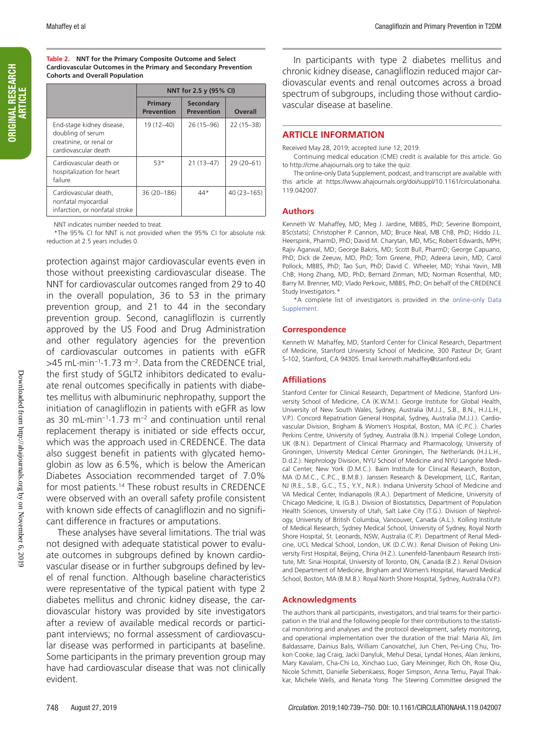# **ORIGINAL RESEARCH** ORIGINAL RESEARCH ARTICLE

#### **Table 2. NNT for the Primary Composite Outcome and Select Cardiovascular Outcomes in the Primary and Secondary Prevention Cohorts and Overall Population**

|                                                                                                   | NNT for 2.5 y (95% CI)       |                                |                |  |  |  |
|---------------------------------------------------------------------------------------------------|------------------------------|--------------------------------|----------------|--|--|--|
|                                                                                                   | Primary<br><b>Prevention</b> | Secondary<br><b>Prevention</b> | <b>Overall</b> |  |  |  |
| End-stage kidney disease,<br>doubling of serum<br>creatinine, or renal or<br>cardiovascular death | 19 (12-40)                   | 26 (15-96)                     | $22(15-38)$    |  |  |  |
| Cardiovascular death or<br>hospitalization for heart<br>failure                                   | 53*                          | $21(13-47)$                    | $29(20-61)$    |  |  |  |
| Cardiovascular death,<br>nonfatal myocardial<br>infarction, or nonfatal stroke                    | 36 (20-186)                  | $44*$                          | $40(23 - 165)$ |  |  |  |

NNT indicates number needed to treat.

\*The 95% CI for NNT is not provided when the 95% CI for absolute risk reduction at 2.5 years includes 0.

protection against major cardiovascular events even in those without preexisting cardiovascular disease. The NNT for cardiovascular outcomes ranged from 29 to 40 in the overall population, 36 to 53 in the primary prevention group, and 21 to 44 in the secondary prevention group. Second, canagliflozin is currently approved by the US Food and Drug Administration and other regulatory agencies for the prevention of cardiovascular outcomes in patients with eGFR >45 mL·min<sup>-1</sup>·1.73 m<sup>-2</sup>. Data from the CREDENCE trial, the first study of SGLT2 inhibitors dedicated to evaluate renal outcomes specifically in patients with diabetes mellitus with albuminuric nephropathy, support the initiation of canagliflozin in patients with eGFR as low as 30 mL·min−1·1.73 m−2 and continuation until renal replacement therapy is initiated or side effects occur, which was the approach used in CREDENCE. The data also suggest benefit in patients with glycated hemoglobin as low as 6.5%, which is below the American Diabetes Association recommended target of 7.0% for most patients.14 These robust results in CREDENCE were observed with an overall safety profile consistent with known side effects of canagliflozin and no significant difference in fractures or amputations.

These analyses have several limitations. The trial was not designed with adequate statistical power to evaluate outcomes in subgroups defined by known cardiovascular disease or in further subgroups defined by level of renal function. Although baseline characteristics were representative of the typical patient with type 2 diabetes mellitus and chronic kidney disease, the cardiovascular history was provided by site investigators after a review of available medical records or participant interviews; no formal assessment of cardiovascular disease was performed in participants at baseline. Some participants in the primary prevention group may have had cardiovascular disease that was not clinically evident.

In participants with type 2 diabetes mellitus and chronic kidney disease, canagliflozin reduced major cardiovascular events and renal outcomes across a broad spectrum of subgroups, including those without cardiovascular disease at baseline.

#### **ARTICLE INFORMATION**

Received May 28, 2019; accepted June 12, 2019.

Continuing medical education (CME) credit is available for this article. Go to http://cme.ahajournals.org to take the quiz.

The online-only Data Supplement, podcast, and transcript are available with this article at https://www.ahajournals.org/doi/suppl/10.1161/circulationaha. 119.042007.

#### **Authors**

Kenneth W. Mahaffey, MD; Meg J. Jardine, MBBS, PhD; Severine Bompoint, BSc(stats); Christopher P. Cannon, MD; Bruce Neal, MB ChB, PhD; Hiddo J.L. Heerspink, PharmD, PhD; David M. Charytan, MD, MSc; Robert Edwards, MPH; Rajiv Agarwal, MD; George Bakris, MD; Scott Bull, PharmD; George Capuano, PhD; Dick de Zeeuw, MD, PhD; Tom Greene, PhD; Adeera Levin, MD; Carol Pollock, MBBS, PhD; Tao Sun, PhD; David C. Wheeler, MD; Yshai Yavin, MB ChB; Hong Zhang, MD, PhD; Bernard Zinman, MD; Norman Rosenthal, MD; Barry M. Brenner, MD; Vlado Perkovic, MBBS, PhD; On behalf of the CREDENCE Study Investigators.\*

\*A complete list of investigators is provided in the online-only Data Supplement.

#### **Correspondence**

Kenneth W. Mahaffey, MD, Stanford Center for Clinical Research, Department of Medicine, Stanford University School of Medicine, 300 Pasteur Dr, Grant S-102, Stanford, CA 94305. Email [kenneth.mahaffey@stanford.edu](mailto:kenneth.mahaffey@stanford.edu)

#### **Affiliations**

Stanford Center for Clinical Research, Department of Medicine, Stanford University School of Medicine, CA (K.W.M.). George Institute for Global Health, University of New South Wales, Sydney, Australia (M.J.J., S.B., B.N., H.J.L.H., V.P.). Concord Repatriation General Hospital, Sydney, Australia (M.J.J.). Cardiovascular Division, Brigham & Women's Hospital, Boston, MA (C.P.C.). Charles Perkins Centre, University of Sydney, Australia (B.N.). Imperial College London, UK (B.N.). Department of Clinical Pharmacy and Pharmacology, University of Groningen, University Medical Center Groningen, The Netherlands (H.J.L.H., D.d.Z.). Nephrology Division, NYU School of Medicine and NYU Langone Medical Center, New York (D.M.C.). Baim Institute for Clinical Research, Boston, MA (D.M.C., C.P.C., B.M.B.). Janssen Research & Development, LLC, Raritan, NJ (R.E., S.B., G.C., T.S., Y.Y., N.R.). Indiana University School of Medicine and VA Medical Center, Indianapolis (R.A.). Department of Medicine, University of Chicago Medicine, IL (G.B.). Division of Biostatistics, Department of Population Health Sciences, University of Utah, Salt Lake City (T.G.). Division of Nephrology, University of British Columbia, Vancouver, Canada (A.L.). Kolling Institute of Medical Research, Sydney Medical School, University of Sydney, Royal North Shore Hospital, St. Leonards, NSW, Australia (C.P.). Department of Renal Medicine, UCL Medical School, London, UK (D.C.W.). Renal Division of Peking University First Hospital, Beijing, China (H.Z.). Lunenfeld-Tanenbaum Research Institute, Mt. Sinai Hospital, University of Toronto, ON, Canada (B.Z.). Renal Division and Department of Medicine, Brigham and Women's Hospital, Harvard Medical School, Boston, MA (B.M.B.). Royal North Shore Hospital, Sydney, Australia (V.P.).

#### **Acknowledgments**

The authors thank all participants, investigators, and trial teams for their participation in the trial and the following people for their contributions to the statistical monitoring and analyses and the protocol development, safety monitoring, and operational implementation over the duration of the trial: Maria Ali, Jim Baldassarre, Dainius Balis, William Canovatchel, Jun Chen, Pei-Ling Chu, Trokon Cooke, Jag Craig, Jacki Danyluk, Mehul Desai, Lyndal Hones, Alan Jenkins, Mary Kavalam, Cha-Chi Lo, Xinchao Luo, Gary Meininger, Rich Oh, Rose Qiu, Nicole Schmitt, Danielle Siebenkaess, Roger Simpson, Anna Temu, Payal Thakkar, Michele Wells, and Renata Yong. The Steering Committee designed the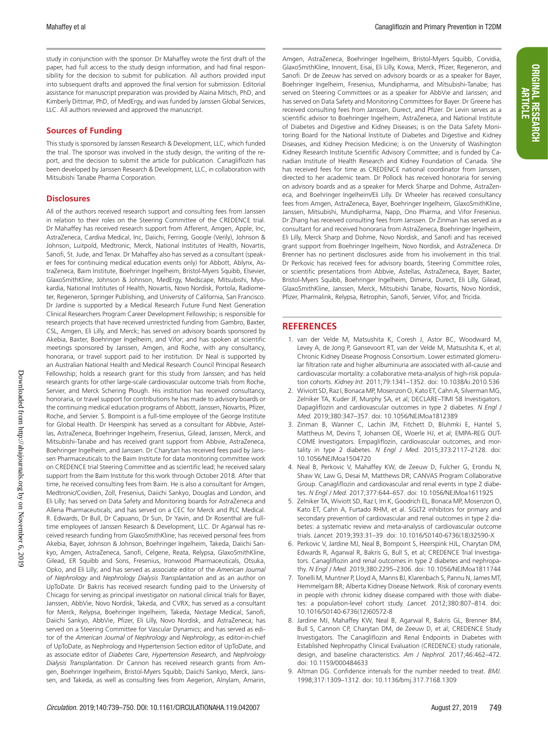study in conjunction with the sponsor. Dr Mahaffey wrote the first draft of the paper, had full access to the study design information, and had final responsibility for the decision to submit for publication. All authors provided input into subsequent drafts and approved the final version for submission. Editorial assistance for manuscript preparation was provided by Alaina Mitsch, PhD, and Kimberly Dittmar, PhD, of MedErgy, and was funded by Janssen Global Services, LLC. All authors reviewed and approved the manuscript.

#### **Sources of Funding**

This study is sponsored by Janssen Research & Development, LLC, which funded the trial. The sponsor was involved in the study design, the writing of the report, and the decision to submit the article for publication. Canagliflozin has been developed by Janssen Research & Development, LLC, in collaboration with Mitsubishi Tanabe Pharma Corporation.

#### **Disclosures**

All of the authors received research support and consulting fees from Janssen in relation to their roles on the Steering Committee of the CREDENCE trial. Dr Mahaffey has received research support from Afferent, Amgen, Apple, Inc, AstraZeneca, Cardiva Medical, Inc, Daiichi, Ferring, Google (Verily), Johnson & Johnson, Luitpold, Medtronic, Merck, National Institutes of Health, Novartis, Sanofi, St. Jude, and Tenax. Dr Mahaffey also has served as a consultant (speaker fees for continuing medical education events only) for Abbott, Ablynx, AstraZeneca, Baim Institute, Boehringer Ingelheim, Bristol-Myers Squibb, Elsevier, GlaxoSmithKline, Johnson & Johnson, MedErgy, Medscape, Mitsubishi, Myokardia, National Institutes of Health, Novartis, Novo Nordisk, Portola, Radiometer, Regeneron, Springer Publishing, and University of California, San Francisco. Dr Jardine is supported by a Medical Research Future Fund Next Generation Clinical Researchers Program Career Development Fellowship; is responsible for research projects that have received unrestricted funding from Gambro, Baxter, CSL, Amgen, Eli Lilly, and Merck; has served on advisory boards sponsored by Akebia, Baxter, Boehringer Ingelheim, and Vifor; and has spoken at scientific meetings sponsored by Janssen, Amgen, and Roche, with any consultancy, honoraria, or travel support paid to her institution. Dr Neal is supported by an Australian National Health and Medical Research Council Principal Research Fellowship; holds a research grant for this study from Janssen; and has held research grants for other large-scale cardiovascular outcome trials from Roche, Servier, and Merck Schering Plough. His institution has received consultancy, honoraria, or travel support for contributions he has made to advisory boards or the continuing medical education programs of Abbott, Janssen, Novartis, Pfizer, Roche, and Servier. S. Bompoint is a full-time employee of the George Institute for Global Health. Dr Heerspink has served as a consultant for Abbvie, Astellas, AstraZeneca, Boehringer Ingelheim, Fresenius, Gilead, Janssen, Merck, and Mitsubishi-Tanabe and has received grant support from Abbvie, AstraZeneca, Boehringer Ingelheim, and Janssen. Dr Charytan has received fees paid by Janssen Pharmaceuticals to the Baim Institute for data monitoring committee work on CREDENCE trial Steering Committee and as scientific lead; he received salary support from the Baim Institute for this work through October 2018. After that time, he received consulting fees from Baim. He is also a consultant for Amgen, Medtronic/Covidien, Zoll, Fresenius, Daiichi Sankyo, Douglas and London, and Eli Lilly; has served on Data Safety and Monitoring boards for AstraZeneca and Allena Pharmaceuticals; and has served on a CEC for Merck and PLC Medical. R. Edwards, Dr Bull, Dr Capuano, Dr Sun, Dr Yavin, and Dr Rosenthal are fulltime employees of Janssen Research & Development, LLC. Dr Agarwal has received research funding from GlaxoSmithKline; has received personal fees from Akebia, Bayer, Johnson & Johnson, Boehringer Ingelheim, Takeda, Daiichi Sankyo, Amgen, AstraZeneca, Sanofi, Celgene, Reata, Relypsa, GlaxoSmithKline, Gilead, ER Squibb and Sons, Fresenius, Ironwood Pharmaceuticals, Otsuka, Opko, and Eli Lilly; and has served as associate editor of the *American Journal of Nephrology* and *Nephrology Dialysis Transplantation* and as an author on UpToDate. Dr Bakris has received research funding paid to the University of Chicago for serving as principal investigator on national clinical trials for Bayer, Janssen, AbbVie, Novo Nordisk, Takeda, and CVRX; has served as a consultant for Merck, Relypsa, Boehringer Ingelheim, Takeda, Nxstage Medical, Sanofi, Daiichi Sankyo, AbbVie, Pfizer, Eli Lilly, Novo Nordisk, and AstraZeneca; has served on a Steering Committee for Vascular Dynamics; and has served as editor of the *American Journal of Nephrology* and *Nephrology*, as editor-in-chief of UpToDate, as Nephrology and Hypertension Section editor of UpToDate, and as associate editor of *Diabetes Care*, *Hypertension Research*, and *Nephrology Dialysis Transplantation*. Dr Cannon has received research grants from Amgen, Boehringer Ingelheim, Bristol-Myers Squibb, Daiichi Sankyo, Merck, Janssen, and Takeda, as well as consulting fees from Aegerion, Alnylam, Amarin,

Amgen, AstraZeneca, Boehringer Ingelheim, Bristol-Myers Squibb, Corvidia, GlaxoSmithKline, Innovent, Eisai, Eli Lilly, Kowa, Merck, Pfizer, Regeneron, and Sanofi. Dr de Zeeuw has served on advisory boards or as a speaker for Bayer, Boehringer Ingelheim, Fresenius, Mundipharma, and Mitsubishi-Tanabe; has served on Steering Committees or as a speaker for AbbVie and Janssen; and has served on Data Safety and Monitoring Committees for Bayer. Dr Greene has received consulting fees from Janssen, Durect, and Pfizer. Dr Levin serves as a scientific advisor to Boehringer Ingelheim, AstraZeneca, and National Institute of Diabetes and Digestive and Kidney Diseases; is on the Data Safety Monitoring Board for the National Institute of Diabetes and Digestive and Kidney Diseases, and Kidney Precision Medicine; is on the University of Washington Kidney Research Institute Scientific Advisory Committee; and is funded by Canadian Institute of Health Research and Kidney Foundation of Canada. She has received fees for time as CREDENCE national coordinator from Janssen, directed to her academic team. Dr Pollock has received honoraria for serving on advisory boards and as a speaker for Merck Sharpe and Dohme, AstraZeneca, and Boehringer Ingelheim/Eli Lilly. Dr Wheeler has received consultancy fees from Amgen, AstraZeneca, Bayer, Boehringer Ingelheim, GlaxoSmithKline, Janssen, Mitsubishi, Mundipharma, Napp, Ono Pharma, and Vifor Fresenius. Dr Zhang has received consulting fees from Janssen. Dr Zinman has served as a consultant for and received honoraria from AstraZeneca, Boehringer Ingelheim, Eli Lilly, Merck Sharp and Dohme, Novo Nordisk, and Sanofi and has received grant support from Boehringer Ingelheim, Novo Nordisk, and AstraZeneca. Dr Brenner has no pertinent disclosures aside from his involvement in this trial. Dr Perkovic has received fees for advisory boards, Steering Committee roles, or scientific presentations from Abbvie, Astellas, AstraZeneca, Bayer, Baxter, Bristol-Myers Squibb, Boehringer Ingelheim, Dimerix, Durect, Eli Lilly, Gilead, GlaxoSmithKline, Janssen, Merck, Mitsubishi Tanabe, Novartis, Novo Nordisk, Pfizer, Pharmalink, Relypsa, Retrophin, Sanofi, Servier, Vifor, and Tricida.

#### **REFERENCES**

- 1. van der Velde M, Matsushita K, Coresh J, Astor BC, Woodward M, Levey A, de Jong P, Gansevoort RT, van der Velde M, Matsushita K, et al; Chronic Kidney Disease Prognosis Consortium. Lower estimated glomerular filtration rate and higher albuminuria are associated with all-cause and cardiovascular mortality: a collaborative meta-analysis of high-risk population cohorts. *Kidney Int.* 2011;79:1341–1352. doi: 10.1038/ki.2010.536
- 2. Wiviott SD, Raz I, Bonaca MP, Mosenzon O, Kato ET, Cahn A, Silverman MG, Zelniker TA, Kuder JF, Murphy SA, et al; DECLARE–TIMI 58 Investigators. Dapagliflozin and cardiovascular outcomes in type 2 diabetes. *N Engl J Med.* 2019;380:347–357. doi: 10.1056/NEJMoa1812389
- 3. Zinman B, Wanner C, Lachin JM, Fitchett D, Bluhmki E, Hantel S, Mattheus M, Devins T, Johansen OE, Woerle HJ, et al; EMPA-REG OUT-COME Investigators. Empagliflozin, cardiovascular outcomes, and mortality in type 2 diabetes. *N Engl J Med.* 2015;373:2117–2128. doi: 10.1056/NEJMoa1504720
- 4. Neal B, Perkovic V, Mahaffey KW, de Zeeuw D, Fulcher G, Erondu N, Shaw W, Law G, Desai M, Matthews DR; CANVAS Program Collaborative Group. Canagliflozin and cardiovascular and renal events in type 2 diabetes. *N Engl J Med.* 2017;377:644–657. doi: 10.1056/NEJMoa1611925
- 5. Zelniker TA, Wiviott SD, Raz I, Im K, Goodrich EL, Bonaca MP, Mosenzon O, Kato ET, Cahn A, Furtado RHM, et al. SGLT2 inhibitors for primary and secondary prevention of cardiovascular and renal outcomes in type 2 diabetes: a systematic review and meta-analysis of cardiovascular outcome trials. *Lancet.* 2019;393:31–39. doi: 10.1016/S0140-6736(18)32590-X
- 6. Perkovic V, Jardine MJ, Neal B, Bompoint S, Heerspink HJL, Charytan DM, Edwards R, Agarwal R, Bakris G, Bull S, et al; CREDENCE Trial Investigators. Canagliflozin and renal outcomes in type 2 diabetes and nephropathy. *N Engl J Med.* 2019;380:2295–2306. doi: 10.1056/NEJMoa1811744
- 7. Tonelli M, Muntner P, Lloyd A, Manns BJ, Klarenbach S, Pannu N, James MT, Hemmelgarn BR; Alberta Kidney Disease Network. Risk of coronary events in people with chronic kidney disease compared with those with diabetes: a population-level cohort study. *Lancet.* 2012;380:807–814. doi: 10.1016/S0140-6736(12)60572-8
- 8. Jardine MJ, Mahaffey KW, Neal B, Agarwal R, Bakris GL, Brenner BM, Bull S, Cannon CP, Charytan DM, de Zeeuw D, et al; CREDENCE Study Investigators. The Canagliflozin and Renal Endpoints in Diabetes with Established Nephropathy Clinical Evaluation (CREDENCE) study rationale, design, and baseline characteristics. *Am J Nephrol.* 2017;46:462–472. doi: 10.1159/000484633
- 9. Altman DG. Confidence intervals for the number needed to treat. *BMJ.* 1998;317:1309–1312. doi: 10.1136/bmj.317.7168.1309